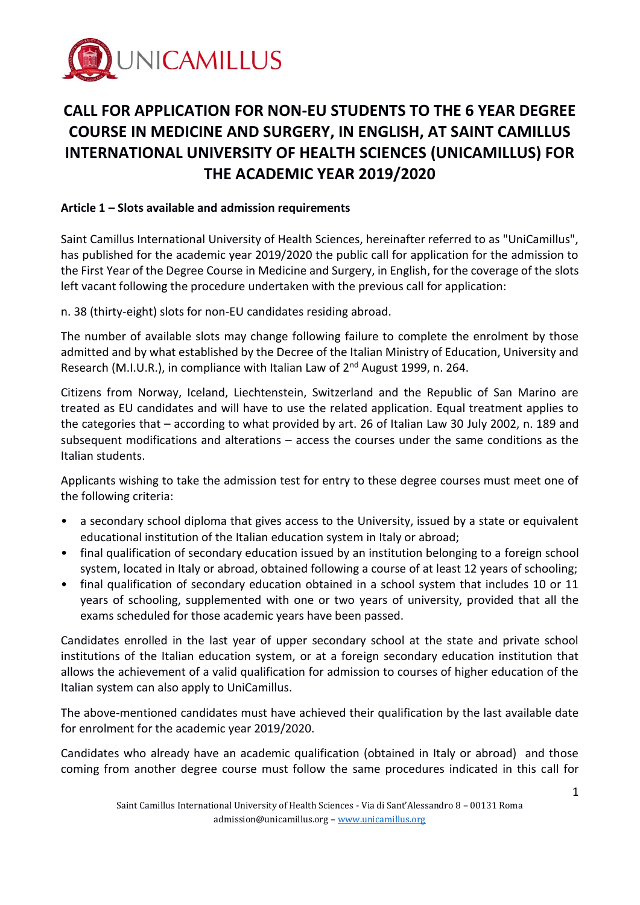

# **CALL FOR APPLICATION FOR NON-EU STUDENTS TO THE 6 YEAR DEGREE COURSE IN MEDICINE AND SURGERY, IN ENGLISH, AT SAINT CAMILLUS INTERNATIONAL UNIVERSITY OF HEALTH SCIENCES (UNICAMILLUS) FOR THE ACADEMIC YEAR 2019/2020**

#### **Article 1 – Slots available and admission requirements**

Saint Camillus International University of Health Sciences, hereinafter referred to as "UniCamillus", has published for the academic year 2019/2020 the public call for application for the admission to the First Year of the Degree Course in Medicine and Surgery, in English, for the coverage of the slots left vacant following the procedure undertaken with the previous call for application:

n. 38 (thirty-eight) slots for non-EU candidates residing abroad.

The number of available slots may change following failure to complete the enrolment by those admitted and by what established by the Decree of the Italian Ministry of Education, University and Research (M.I.U.R.), in compliance with Italian Law of 2<sup>nd</sup> August 1999, n. 264.

Citizens from Norway, Iceland, Liechtenstein, Switzerland and the Republic of San Marino are treated as EU candidates and will have to use the related application. Equal treatment applies to the categories that – according to what provided by art. 26 of Italian Law 30 July 2002, n. 189 and subsequent modifications and alterations – access the courses under the same conditions as the Italian students.

Applicants wishing to take the admission test for entry to these degree courses must meet one of the following criteria:

- a secondary school diploma that gives access to the University, issued by a state or equivalent educational institution of the Italian education system in Italy or abroad;
- final qualification of secondary education issued by an institution belonging to a foreign school system, located in Italy or abroad, obtained following a course of at least 12 years of schooling;
- final qualification of secondary education obtained in a school system that includes 10 or 11 years of schooling, supplemented with one or two years of university, provided that all the exams scheduled for those academic years have been passed.

Candidates enrolled in the last year of upper secondary school at the state and private school institutions of the Italian education system, or at a foreign secondary education institution that allows the achievement of a valid qualification for admission to courses of higher education of the Italian system can also apply to UniCamillus.

The above-mentioned candidates must have achieved their qualification by the last available date for enrolment for the academic year 2019/2020.

Candidates who already have an academic qualification (obtained in Italy or abroad) and those coming from another degree course must follow the same procedures indicated in this call for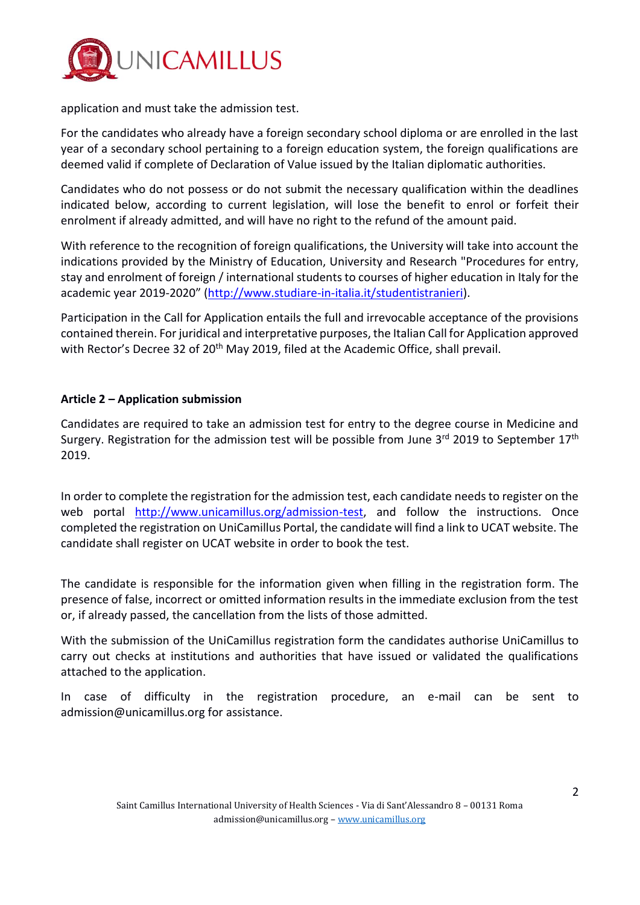

application and must take the admission test.

For the candidates who already have a foreign secondary school diploma or are enrolled in the last year of a secondary school pertaining to a foreign education system, the foreign qualifications are deemed valid if complete of Declaration of Value issued by the Italian diplomatic authorities.

Candidates who do not possess or do not submit the necessary qualification within the deadlines indicated below, according to current legislation, will lose the benefit to enrol or forfeit their enrolment if already admitted, and will have no right to the refund of the amount paid.

With reference to the recognition of foreign qualifications, the University will take into account the indications provided by the Ministry of Education, University and Research "Procedures for entry, stay and enrolment of foreign / international students to courses of higher education in Italy for the academic year 2019-2020" ([http://www.studiare-in-italia.it/studentistranieri\)](http://www.studiare-in-italia.it/studentistranieri).

Participation in the Call for Application entails the full and irrevocable acceptance of the provisions contained therein. For juridical and interpretative purposes, the Italian Call for Application approved with Rector's Decree 32 of 20<sup>th</sup> May 2019, filed at the Academic Office, shall prevail.

#### **Article 2 – Application submission**

Candidates are required to take an admission test for entry to the degree course in Medicine and Surgery. Registration for the admission test will be possible from June  $3^{rd}$  2019 to September  $17^{th}$ 2019.

In order to complete the registration for the admission test, each candidate needs to register on the web portal [http://www.unicamillus.org/admission-test,](http://www.unicamillus.org/admission-test) and follow the instructions. Once completed the registration on UniCamillus Portal, the candidate will find a link to UCAT website. The candidate shall register on UCAT website in order to book the test.

The candidate is responsible for the information given when filling in the registration form. The presence of false, incorrect or omitted information results in the immediate exclusion from the test or, if already passed, the cancellation from the lists of those admitted.

With the submission of the UniCamillus registration form the candidates authorise UniCamillus to carry out checks at institutions and authorities that have issued or validated the qualifications attached to the application.

In case of difficulty in the registration procedure, an e-mail can be sent to admission@unicamillus.org for assistance.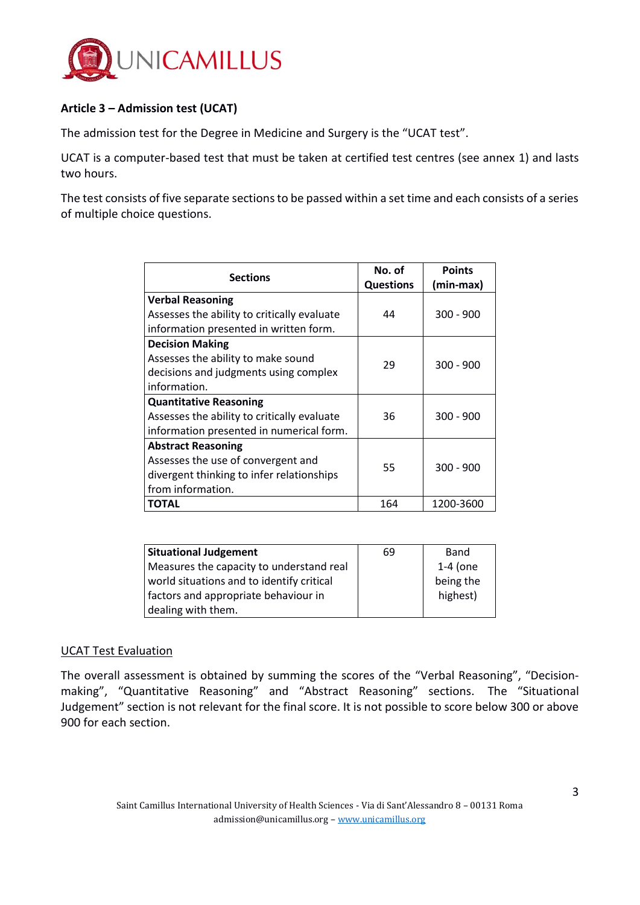

## **Article 3 – Admission test (UCAT)**

The admission test for the Degree in Medicine and Surgery is the "UCAT test".

UCAT is a computer-based test that must be taken at certified test centres (see annex 1) and lasts two hours.

The test consists of five separate sections to be passed within a set time and each consists of a series of multiple choice questions.

| <b>Sections</b>                             | No. of<br><b>Questions</b> | <b>Points</b><br>(min-max) |  |
|---------------------------------------------|----------------------------|----------------------------|--|
| <b>Verbal Reasoning</b>                     |                            |                            |  |
| Assesses the ability to critically evaluate | 44                         | $300 - 900$                |  |
| information presented in written form.      |                            |                            |  |
| <b>Decision Making</b>                      |                            |                            |  |
| Assesses the ability to make sound          | 29                         | $300 - 900$                |  |
| decisions and judgments using complex       |                            |                            |  |
| information.                                |                            |                            |  |
| <b>Quantitative Reasoning</b>               |                            | $300 - 900$                |  |
| Assesses the ability to critically evaluate | 36                         |                            |  |
| information presented in numerical form.    |                            |                            |  |
| <b>Abstract Reasoning</b>                   |                            |                            |  |
| Assesses the use of convergent and          | 55                         | $300 - 900$                |  |
| divergent thinking to infer relationships   |                            |                            |  |
| from information.                           |                            |                            |  |
| <b>TOTAL</b>                                | 164                        | 1200-3600                  |  |

| <b>Situational Judgement</b>              | 69 | Band       |
|-------------------------------------------|----|------------|
| Measures the capacity to understand real  |    | $1-4$ (one |
| world situations and to identify critical |    | being the  |
| factors and appropriate behaviour in      |    | highest)   |
| dealing with them.                        |    |            |

#### UCAT Test Evaluation

The overall assessment is obtained by summing the scores of the "Verbal Reasoning", "Decisionmaking", "Quantitative Reasoning" and "Abstract Reasoning" sections. The "Situational Judgement" section is not relevant for the final score. It is not possible to score below 300 or above 900 for each section.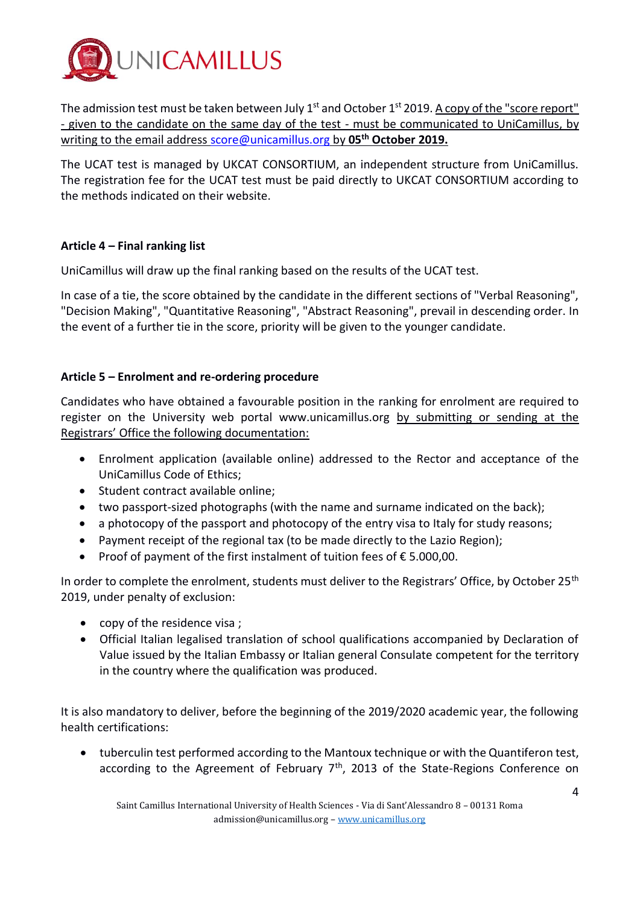

The admission test must be taken between July 1<sup>st</sup> and October 1<sup>st</sup> 2019. A copy of the "score report" - given to the candidate on the same day of the test - must be communicated to UniCamillus, by writing to the email address [score@unicamillus.org](mailto:score@unicamillus.org) by **05th October 2019.**

The UCAT test is managed by UKCAT CONSORTIUM, an independent structure from UniCamillus. The registration fee for the UCAT test must be paid directly to UKCAT CONSORTIUM according to the methods indicated on their website.

### **Article 4 – Final ranking list**

UniCamillus will draw up the final ranking based on the results of the UCAT test.

In case of a tie, the score obtained by the candidate in the different sections of "Verbal Reasoning", "Decision Making", "Quantitative Reasoning", "Abstract Reasoning", prevail in descending order. In the event of a further tie in the score, priority will be given to the younger candidate.

#### **Article 5 – Enrolment and re-ordering procedure**

Candidates who have obtained a favourable position in the ranking for enrolment are required to register on the University web portal www.unicamillus.org by submitting or sending at the Registrars' Office the following documentation:

- Enrolment application (available online) addressed to the Rector and acceptance of the UniCamillus Code of Ethics;
- Student contract available online;
- two passport-sized photographs (with the name and surname indicated on the back);
- a photocopy of the passport and photocopy of the entry visa to Italy for study reasons;
- Payment receipt of the regional tax (to be made directly to the Lazio Region);
- Proof of payment of the first instalment of tuition fees of € 5.000,00.

In order to complete the enrolment, students must deliver to the Registrars' Office, by October 25<sup>th</sup> 2019, under penalty of exclusion:

- copy of the residence visa ;
- Official Italian legalised translation of school qualifications accompanied by Declaration of Value issued by the Italian Embassy or Italian general Consulate competent for the territory in the country where the qualification was produced.

It is also mandatory to deliver, before the beginning of the 2019/2020 academic year, the following health certifications:

• tuberculin test performed according to the Mantoux technique or with the Quantiferon test, according to the Agreement of February 7<sup>th</sup>, 2013 of the State-Regions Conference on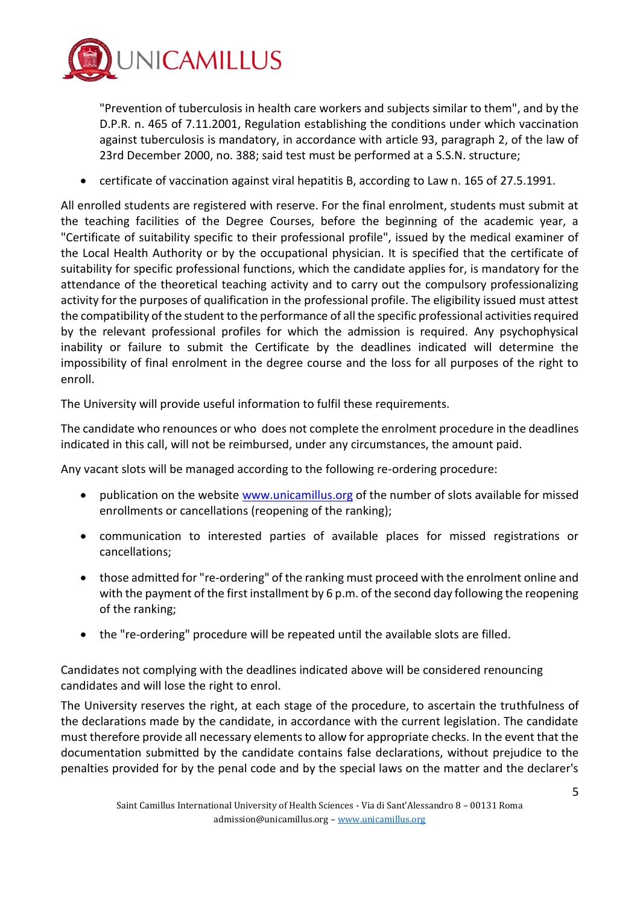

"Prevention of tuberculosis in health care workers and subjects similar to them", and by the D.P.R. n. 465 of 7.11.2001, Regulation establishing the conditions under which vaccination against tuberculosis is mandatory, in accordance with article 93, paragraph 2, of the law of 23rd December 2000, no. 388; said test must be performed at a S.S.N. structure;

• certificate of vaccination against viral hepatitis B, according to Law n. 165 of 27.5.1991.

All enrolled students are registered with reserve. For the final enrolment, students must submit at the teaching facilities of the Degree Courses, before the beginning of the academic year, a "Certificate of suitability specific to their professional profile", issued by the medical examiner of the Local Health Authority or by the occupational physician. It is specified that the certificate of suitability for specific professional functions, which the candidate applies for, is mandatory for the attendance of the theoretical teaching activity and to carry out the compulsory professionalizing activity for the purposes of qualification in the professional profile. The eligibility issued must attest the compatibility of the student to the performance of all the specific professional activities required by the relevant professional profiles for which the admission is required. Any psychophysical inability or failure to submit the Certificate by the deadlines indicated will determine the impossibility of final enrolment in the degree course and the loss for all purposes of the right to enroll.

The University will provide useful information to fulfil these requirements.

The candidate who renounces or who does not complete the enrolment procedure in the deadlines indicated in this call, will not be reimbursed, under any circumstances, the amount paid.

Any vacant slots will be managed according to the following re-ordering procedure:

- publication on the website [www.unicamillus.org](http://www.unicamillus.org/) of the number of slots available for missed enrollments or cancellations (reopening of the ranking);
- communication to interested parties of available places for missed registrations or cancellations;
- those admitted for "re-ordering" of the ranking must proceed with the enrolment online and with the payment of the first installment by 6 p.m. of the second day following the reopening of the ranking;
- the "re-ordering" procedure will be repeated until the available slots are filled.

Candidates not complying with the deadlines indicated above will be considered renouncing candidates and will lose the right to enrol.

The University reserves the right, at each stage of the procedure, to ascertain the truthfulness of the declarations made by the candidate, in accordance with the current legislation. The candidate must therefore provide all necessary elements to allow for appropriate checks. In the event that the documentation submitted by the candidate contains false declarations, without prejudice to the penalties provided for by the penal code and by the special laws on the matter and the declarer's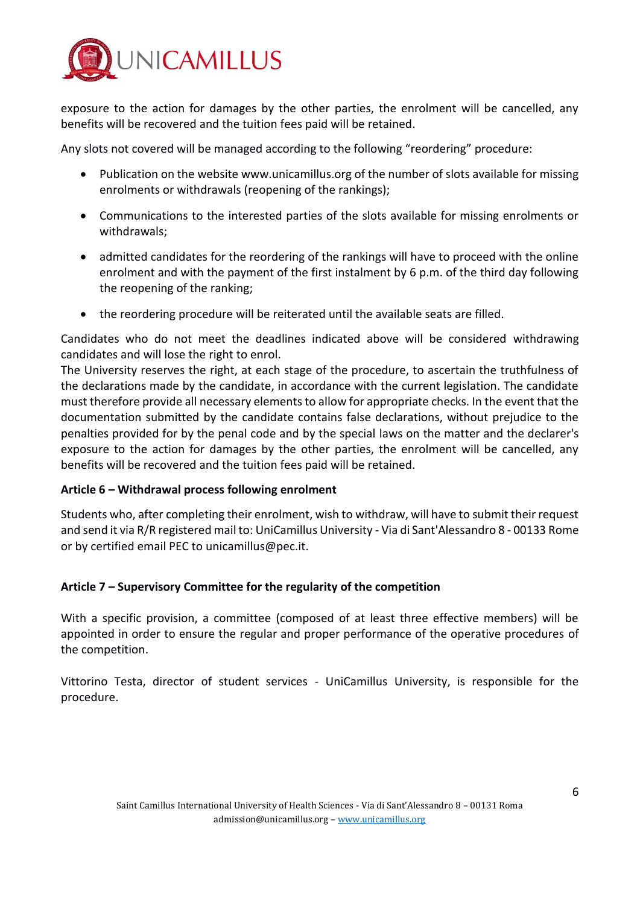

exposure to the action for damages by the other parties, the enrolment will be cancelled, any benefits will be recovered and the tuition fees paid will be retained.

Any slots not covered will be managed according to the following "reordering" procedure:

- Publication on the website www.unicamillus.org of the number of slots available for missing enrolments or withdrawals (reopening of the rankings);
- Communications to the interested parties of the slots available for missing enrolments or withdrawals;
- admitted candidates for the reordering of the rankings will have to proceed with the online enrolment and with the payment of the first instalment by 6 p.m. of the third day following the reopening of the ranking;
- the reordering procedure will be reiterated until the available seats are filled.

Candidates who do not meet the deadlines indicated above will be considered withdrawing candidates and will lose the right to enrol.

The University reserves the right, at each stage of the procedure, to ascertain the truthfulness of the declarations made by the candidate, in accordance with the current legislation. The candidate must therefore provide all necessary elements to allow for appropriate checks. In the event that the documentation submitted by the candidate contains false declarations, without prejudice to the penalties provided for by the penal code and by the special laws on the matter and the declarer's exposure to the action for damages by the other parties, the enrolment will be cancelled, any benefits will be recovered and the tuition fees paid will be retained.

#### **Article 6 – Withdrawal process following enrolment**

Students who, after completing their enrolment, wish to withdraw, will have to submit their request and send it via R/R registered mail to: UniCamillus University - Via di Sant'Alessandro 8 - 00133 Rome or by certified email PEC to unicamillus@pec.it.

#### **Article 7 – Supervisory Committee for the regularity of the competition**

With a specific provision, a committee (composed of at least three effective members) will be appointed in order to ensure the regular and proper performance of the operative procedures of the competition.

Vittorino Testa, director of student services - UniCamillus University, is responsible for the procedure.